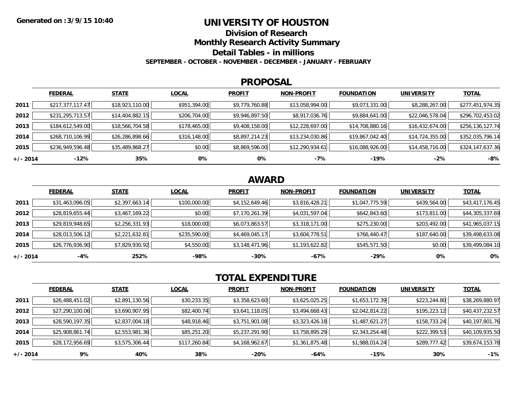### **UNIVERSITY OF HOUSTON**

**Division of Research**

**Monthly Research Activity Summary**

**Detail Tables - in millions**

**SEPTEMBER - OCTOBER - NOVEMBER - DECEMBER - JANUARY - FEBRUARY**

#### **PROPOSAL**

|            | <b>FEDERAL</b>   | <b>STATE</b>    | <b>LOCAL</b> | <b>PROFIT</b>  | <b>NON-PROFIT</b> | <b>FOUNDATION</b> | <b>UNIVERSITY</b> | <u>TOTAL</u>     |
|------------|------------------|-----------------|--------------|----------------|-------------------|-------------------|-------------------|------------------|
| 2011       | \$217,377,117.47 | \$18,923,110.00 | \$951,394.00 | \$9,779,760.88 | \$13,058,994.00   | \$9,073,331.00    | \$8,288,267.00    | \$277,451,974.35 |
| 2012       | \$231,295,713.57 | \$14,404,882.15 | \$206,704.00 | \$9,946,897.50 | \$8,917,036.76    | \$9,884,641.00    | \$22,046,578.04   | \$296,702,453.02 |
| 2013       | \$184,612,549.00 | \$18,566,704.58 | \$178,465.00 | \$9,408,158.00 | \$12,228,697.00   | \$14,708,880.16   | \$16,432,674.00   | \$256,136,127.74 |
| 2014       | \$268,710,106.99 | \$26,286,898.66 | \$316,148.00 | \$8,897,214.23 | \$13,234,030.86   | \$19,867,042.40   | \$14,724,355.00   | \$352,035,796.14 |
| 2015       | \$236,949,596.48 | \$35,489,868.27 | \$0.00       | \$8,869,596.00 | \$12,290,934.61   | \$16,088,926.00   | \$14,458,716.00   | \$324,147,637.36 |
| $+/- 2014$ | -12%             | 35%             | 0%           | 0%             | -7%               | -19%              | $-2%$             | $-8%$            |

## **AWARD**

|            | <b>FEDERAL</b>  | <b>STATE</b>   | <b>LOCAL</b> | <b>PROFIT</b>  | <b>NON-PROFIT</b> | <b>FOUNDATION</b> | <b>UNIVERSITY</b> | <b>TOTAL</b>    |
|------------|-----------------|----------------|--------------|----------------|-------------------|-------------------|-------------------|-----------------|
| 2011       | \$31,463,096.05 | \$2,397,663.14 | \$100,000.00 | \$4,152,649.46 | \$3,816,428.21    | \$1,047,775.59    | \$439,564.00      | \$43,417,176.45 |
| 2012       | \$28,819,655.44 | \$3,467,169.22 | \$0.00       | \$7,170,261.39 | \$4,031,597.04    | \$642,843.60      | \$173,811.00      | \$44,305,337.69 |
| 2013       | \$29,819,948.65 | \$2,256,331.93 | \$18,000.00  | \$6,073,863.57 | \$3,318,171.00    | \$275,230.00      | \$203,492.00      | \$41,965,037.15 |
| 2014       | \$28,013,506.12 | \$2,221,632.81 | \$235,590.00 | \$4,469,045.17 | \$3,604,778.51    | \$766,440.47      | \$187,640.00      | \$39,498,633.08 |
| 2015       | \$26,776,936.90 | \$7,829,930.92 | \$4,550.00   | \$3,148,471.96 | \$1,193,622.82    | \$545,571.50      | \$0.00            | \$39,499,084.10 |
| $+/- 2014$ | -4%             | 252%           | $-98%$       | $-30%$         | -67%              | $-29%$            | 0%                | 0%              |

# **TOTAL EXPENDITURE**

|            | <b>FEDERAL</b>  | <b>STATE</b>   | <b>LOCAL</b> | <b>PROFIT</b>  | <b>NON-PROFIT</b> | <b>FOUNDATION</b> | <b>UNIVERSITY</b> | <b>TOTAL</b>    |
|------------|-----------------|----------------|--------------|----------------|-------------------|-------------------|-------------------|-----------------|
| 2011       | \$26,488,451.02 | \$2,891,130.56 | \$30,233.35  | \$3,358,623.60 | \$3,625,025.25    | \$1,653,172.39    | \$223,244.80      | \$38,269,880.97 |
| 2012       | \$27,290,100.06 | \$3,690,907.95 | \$82,400.74  | \$3,641,118.05 | \$3,494,668.43    | \$2,042,814.22    | \$195,223.12      | \$40,437,232.57 |
| 2013       | \$28,590,197.35 | \$2,837,004.18 | \$48,918.46  | \$3,751,901.08 | \$3,323,426.18    | \$1,487,621.27    | \$158,733.24      | \$40,197,801.76 |
| 2014       | \$25,908,861.74 | \$2,553,981.36 | \$85,251.20  | \$5,237,291.90 | \$3,758,895.29    | \$2,343,254.48    | \$222,399.53      | \$40,109,935.50 |
| 2015       | \$28,172,956.69 | \$3,575,306.44 | \$117,260.84 | \$4,168,962.67 | \$1,361,875.48    | \$1,988,014.24    | \$289,777.42      | \$39,674,153.78 |
| $+/- 2014$ | 9%              | 40%            | 38%          | -20%           | -64%              | $-15%$            | 30%               | $-1%$           |